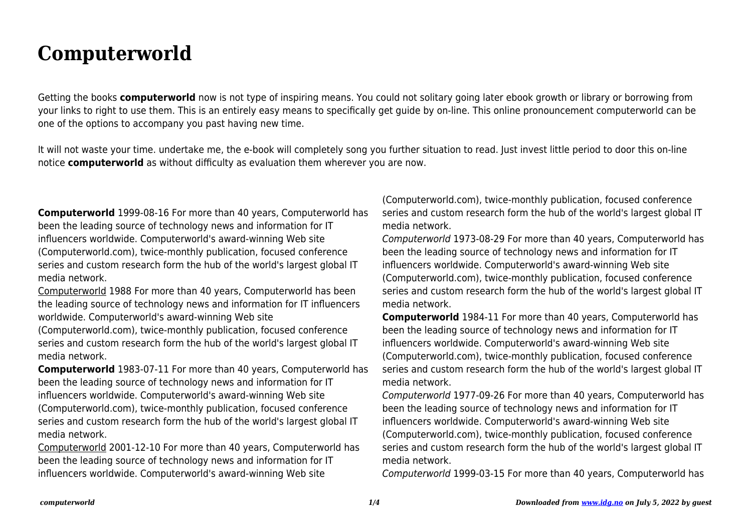## **Computerworld**

Getting the books **computerworld** now is not type of inspiring means. You could not solitary going later ebook growth or library or borrowing from your links to right to use them. This is an entirely easy means to specifically get guide by on-line. This online pronouncement computerworld can be one of the options to accompany you past having new time.

It will not waste your time. undertake me, the e-book will completely song you further situation to read. Just invest little period to door this on-line notice **computerworld** as without difficulty as evaluation them wherever you are now.

**Computerworld** 1999-08-16 For more than 40 years, Computerworld has been the leading source of technology news and information for IT influencers worldwide. Computerworld's award-winning Web site (Computerworld.com), twice-monthly publication, focused conference series and custom research form the hub of the world's largest global IT media network.

Computerworld 1988 For more than 40 years, Computerworld has been the leading source of technology news and information for IT influencers worldwide. Computerworld's award-winning Web site

(Computerworld.com), twice-monthly publication, focused conference series and custom research form the hub of the world's largest global IT media network.

**Computerworld** 1983-07-11 For more than 40 years, Computerworld has been the leading source of technology news and information for IT influencers worldwide. Computerworld's award-winning Web site (Computerworld.com), twice-monthly publication, focused conference series and custom research form the hub of the world's largest global IT media network.

Computerworld 2001-12-10 For more than 40 years, Computerworld has been the leading source of technology news and information for IT influencers worldwide. Computerworld's award-winning Web site

(Computerworld.com), twice-monthly publication, focused conference series and custom research form the hub of the world's largest global IT media network.

Computerworld 1973-08-29 For more than 40 years, Computerworld has been the leading source of technology news and information for IT influencers worldwide. Computerworld's award-winning Web site (Computerworld.com), twice-monthly publication, focused conference series and custom research form the hub of the world's largest global IT media network.

**Computerworld** 1984-11 For more than 40 years, Computerworld has been the leading source of technology news and information for IT influencers worldwide. Computerworld's award-winning Web site (Computerworld.com), twice-monthly publication, focused conference series and custom research form the hub of the world's largest global IT media network.

Computerworld 1977-09-26 For more than 40 years, Computerworld has been the leading source of technology news and information for IT influencers worldwide. Computerworld's award-winning Web site (Computerworld.com), twice-monthly publication, focused conference series and custom research form the hub of the world's largest global IT media network.

Computerworld 1999-03-15 For more than 40 years, Computerworld has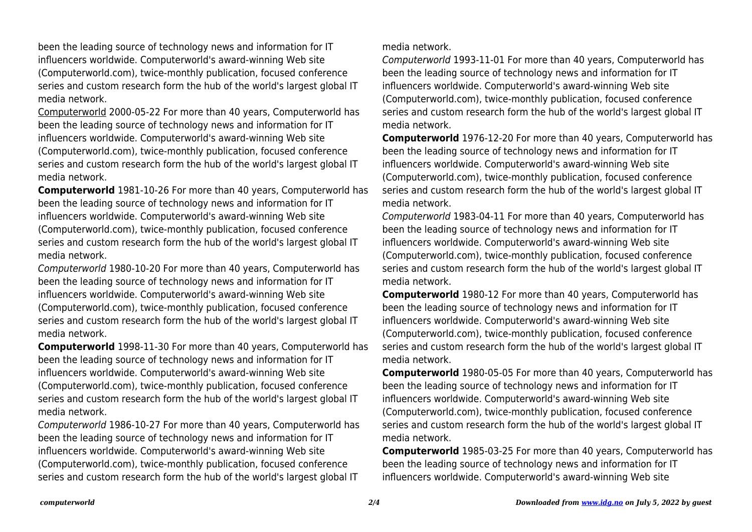been the leading source of technology news and information for IT influencers worldwide. Computerworld's award-winning Web site (Computerworld.com), twice-monthly publication, focused conference series and custom research form the hub of the world's largest global IT media network.

Computerworld 2000-05-22 For more than 40 years, Computerworld has been the leading source of technology news and information for IT influencers worldwide. Computerworld's award-winning Web site (Computerworld.com), twice-monthly publication, focused conference series and custom research form the hub of the world's largest global IT media network.

**Computerworld** 1981-10-26 For more than 40 years, Computerworld has been the leading source of technology news and information for IT influencers worldwide. Computerworld's award-winning Web site (Computerworld.com), twice-monthly publication, focused conference series and custom research form the hub of the world's largest global IT media network.

Computerworld 1980-10-20 For more than 40 years, Computerworld has been the leading source of technology news and information for IT influencers worldwide. Computerworld's award-winning Web site (Computerworld.com), twice-monthly publication, focused conference series and custom research form the hub of the world's largest global IT media network.

**Computerworld** 1998-11-30 For more than 40 years, Computerworld has been the leading source of technology news and information for IT influencers worldwide. Computerworld's award-winning Web site (Computerworld.com), twice-monthly publication, focused conference series and custom research form the hub of the world's largest global IT media network.

Computerworld 1986-10-27 For more than 40 years, Computerworld has been the leading source of technology news and information for IT influencers worldwide. Computerworld's award-winning Web site (Computerworld.com), twice-monthly publication, focused conference series and custom research form the hub of the world's largest global IT

media network.

Computerworld 1993-11-01 For more than 40 years, Computerworld has been the leading source of technology news and information for IT influencers worldwide. Computerworld's award-winning Web site (Computerworld.com), twice-monthly publication, focused conference series and custom research form the hub of the world's largest global IT media network.

**Computerworld** 1976-12-20 For more than 40 years, Computerworld has been the leading source of technology news and information for IT influencers worldwide. Computerworld's award-winning Web site (Computerworld.com), twice-monthly publication, focused conference series and custom research form the hub of the world's largest global IT media network.

Computerworld 1983-04-11 For more than 40 years, Computerworld has been the leading source of technology news and information for IT influencers worldwide. Computerworld's award-winning Web site (Computerworld.com), twice-monthly publication, focused conference series and custom research form the hub of the world's largest global IT media network.

**Computerworld** 1980-12 For more than 40 years, Computerworld has been the leading source of technology news and information for IT influencers worldwide. Computerworld's award-winning Web site (Computerworld.com), twice-monthly publication, focused conference series and custom research form the hub of the world's largest global IT media network.

**Computerworld** 1980-05-05 For more than 40 years, Computerworld has been the leading source of technology news and information for IT influencers worldwide. Computerworld's award-winning Web site (Computerworld.com), twice-monthly publication, focused conference series and custom research form the hub of the world's largest global IT media network.

**Computerworld** 1985-03-25 For more than 40 years, Computerworld has been the leading source of technology news and information for IT influencers worldwide. Computerworld's award-winning Web site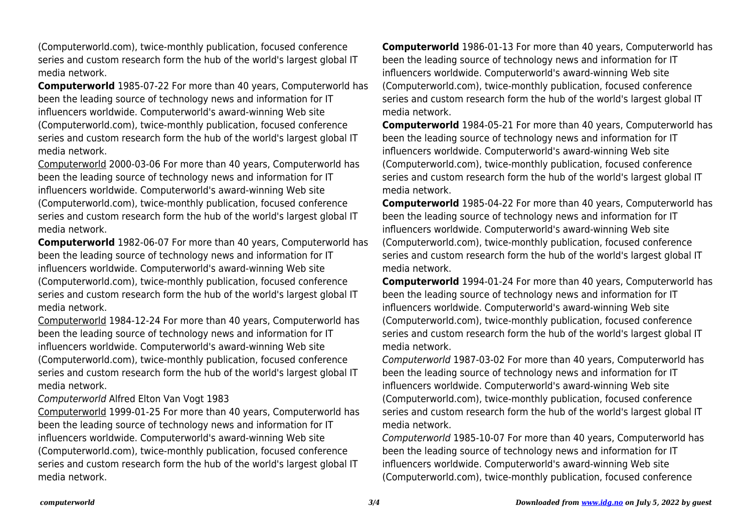(Computerworld.com), twice-monthly publication, focused conference series and custom research form the hub of the world's largest global IT media network.

**Computerworld** 1985-07-22 For more than 40 years, Computerworld has been the leading source of technology news and information for IT influencers worldwide. Computerworld's award-winning Web site (Computerworld.com), twice-monthly publication, focused conference series and custom research form the hub of the world's largest global IT media network.

Computerworld 2000-03-06 For more than 40 years, Computerworld has been the leading source of technology news and information for IT influencers worldwide. Computerworld's award-winning Web site (Computerworld.com), twice-monthly publication, focused conference series and custom research form the hub of the world's largest global IT media network.

**Computerworld** 1982-06-07 For more than 40 years, Computerworld has been the leading source of technology news and information for IT influencers worldwide. Computerworld's award-winning Web site (Computerworld.com), twice-monthly publication, focused conference series and custom research form the hub of the world's largest global IT media network.

Computerworld 1984-12-24 For more than 40 years, Computerworld has been the leading source of technology news and information for IT influencers worldwide. Computerworld's award-winning Web site (Computerworld.com), twice-monthly publication, focused conference series and custom research form the hub of the world's largest global IT media network.

Computerworld Alfred Elton Van Vogt 1983

Computerworld 1999-01-25 For more than 40 years, Computerworld has been the leading source of technology news and information for IT influencers worldwide. Computerworld's award-winning Web site (Computerworld.com), twice-monthly publication, focused conference series and custom research form the hub of the world's largest global IT media network.

**Computerworld** 1986-01-13 For more than 40 years, Computerworld has been the leading source of technology news and information for IT influencers worldwide. Computerworld's award-winning Web site (Computerworld.com), twice-monthly publication, focused conference series and custom research form the hub of the world's largest global IT media network.

**Computerworld** 1984-05-21 For more than 40 years, Computerworld has been the leading source of technology news and information for IT influencers worldwide. Computerworld's award-winning Web site (Computerworld.com), twice-monthly publication, focused conference series and custom research form the hub of the world's largest global IT media network.

**Computerworld** 1985-04-22 For more than 40 years, Computerworld has been the leading source of technology news and information for IT influencers worldwide. Computerworld's award-winning Web site (Computerworld.com), twice-monthly publication, focused conference series and custom research form the hub of the world's largest global IT media network.

**Computerworld** 1994-01-24 For more than 40 years, Computerworld has been the leading source of technology news and information for IT influencers worldwide. Computerworld's award-winning Web site (Computerworld.com), twice-monthly publication, focused conference series and custom research form the hub of the world's largest global IT media network.

Computerworld 1987-03-02 For more than 40 years, Computerworld has been the leading source of technology news and information for IT influencers worldwide. Computerworld's award-winning Web site (Computerworld.com), twice-monthly publication, focused conference series and custom research form the hub of the world's largest global IT media network.

Computerworld 1985-10-07 For more than 40 years, Computerworld has been the leading source of technology news and information for IT influencers worldwide. Computerworld's award-winning Web site (Computerworld.com), twice-monthly publication, focused conference